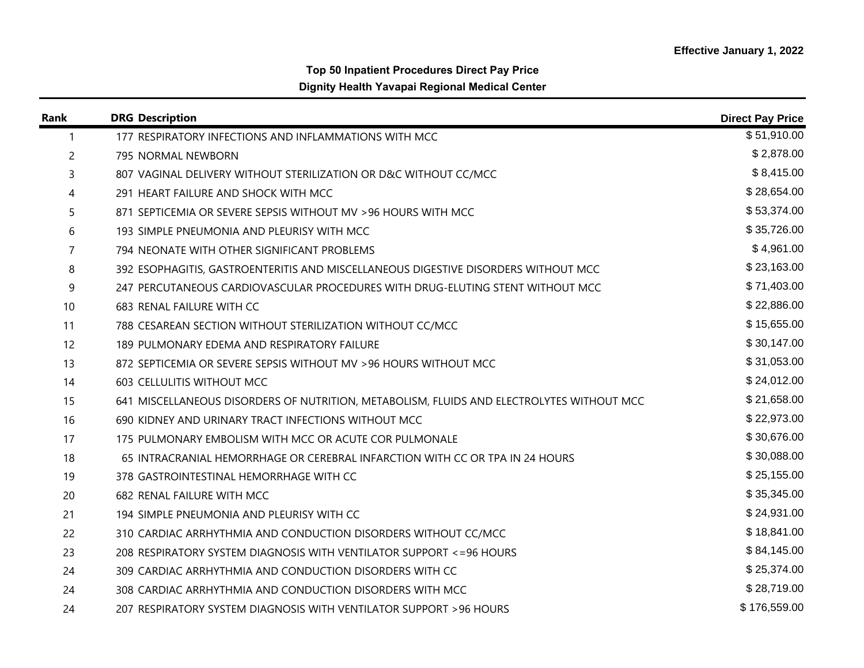## **Top 50 Inpatient Procedures Direct Pay Price Dignity Health Yavapai Regional Medical Center**

| Rank         | <b>DRG Description</b>                                                                    | <b>Direct Pay Price</b> |
|--------------|-------------------------------------------------------------------------------------------|-------------------------|
| $\mathbf{1}$ | 177 RESPIRATORY INFECTIONS AND INFLAMMATIONS WITH MCC                                     | \$51,910.00             |
| 2            | 795 NORMAL NEWBORN                                                                        | \$2,878.00              |
| 3            | 807 VAGINAL DELIVERY WITHOUT STERILIZATION OR D&C WITHOUT CC/MCC                          | \$8,415.00              |
| 4            | 291 HEART FAILURE AND SHOCK WITH MCC                                                      | \$28,654.00             |
| 5            | 871 SEPTICEMIA OR SEVERE SEPSIS WITHOUT MV > 96 HOURS WITH MCC                            | \$53,374.00             |
| 6            | 193 SIMPLE PNEUMONIA AND PLEURISY WITH MCC                                                | \$35,726.00             |
| 7            | 794 NEONATE WITH OTHER SIGNIFICANT PROBLEMS                                               | \$4,961.00              |
| 8            | 392 ESOPHAGITIS, GASTROENTERITIS AND MISCELLANEOUS DIGESTIVE DISORDERS WITHOUT MCC        | \$23,163.00             |
| 9            | 247 PERCUTANEOUS CARDIOVASCULAR PROCEDURES WITH DRUG-ELUTING STENT WITHOUT MCC            | \$71,403.00             |
| 10           | 683 RENAL FAILURE WITH CC                                                                 | \$22,886.00             |
| 11           | 788 CESAREAN SECTION WITHOUT STERILIZATION WITHOUT CC/MCC                                 | \$15,655.00             |
| 12           | 189 PULMONARY EDEMA AND RESPIRATORY FAILURE                                               | \$30,147.00             |
| 13           | 872 SEPTICEMIA OR SEVERE SEPSIS WITHOUT MV > 96 HOURS WITHOUT MCC                         | \$31,053.00             |
| 14           | 603 CELLULITIS WITHOUT MCC                                                                | \$24,012.00             |
| 15           | 641 MISCELLANEOUS DISORDERS OF NUTRITION, METABOLISM, FLUIDS AND ELECTROLYTES WITHOUT MCC | \$21,658.00             |
| 16           | 690 KIDNEY AND URINARY TRACT INFECTIONS WITHOUT MCC                                       | \$22,973.00             |
| 17           | 175 PULMONARY EMBOLISM WITH MCC OR ACUTE COR PULMONALE                                    | \$30,676.00             |
| 18           | 65 INTRACRANIAL HEMORRHAGE OR CEREBRAL INFARCTION WITH CC OR TPA IN 24 HOURS              | \$30,088.00             |
| 19           | 378 GASTROINTESTINAL HEMORRHAGE WITH CC                                                   | \$25,155.00             |
| 20           | 682 RENAL FAILURE WITH MCC                                                                | \$35,345.00             |
| 21           | 194 SIMPLE PNEUMONIA AND PLEURISY WITH CC                                                 | \$24,931.00             |
| 22           | 310 CARDIAC ARRHYTHMIA AND CONDUCTION DISORDERS WITHOUT CC/MCC                            | \$18,841.00             |
| 23           | 208 RESPIRATORY SYSTEM DIAGNOSIS WITH VENTILATOR SUPPORT <= 96 HOURS                      | \$84,145.00             |
| 24           | 309 CARDIAC ARRHYTHMIA AND CONDUCTION DISORDERS WITH CC                                   | \$25,374.00             |
| 24           | 308 CARDIAC ARRHYTHMIA AND CONDUCTION DISORDERS WITH MCC                                  | \$28,719.00             |
| 24           | 207 RESPIRATORY SYSTEM DIAGNOSIS WITH VENTILATOR SUPPORT > 96 HOURS                       | \$176,559.00            |